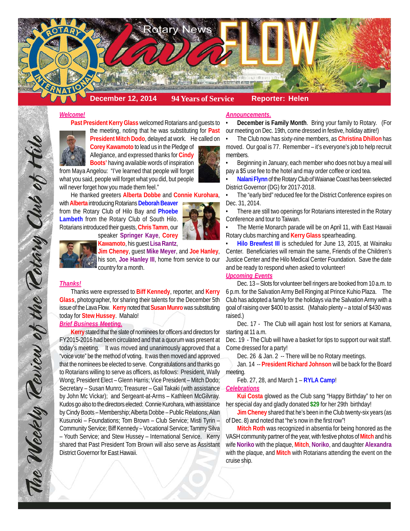

## *Welcome!*

**Past President Kerry Glass** welcomed Rotarians and guests to the meeting, noting that he was substituting for **Past President Mitch Dodo**, delayed at work. He called on

**Corey Kawamoto** to lead us in the Pledge of

Allegiance, and expressed thanks for **Cindy Boots'** having available words of inspiration

from Maya Angelou: "I've learned that people will forget what you said, people will forget what you did, but people will never forget how you made them feel."

He thanked greeters **Alberta Dobbe** and **Connie Kurohara**, with **Alberta** introducing Rotarians **Deborah Beaver** from the Rotary Club of Hilo Bay and **Phoebe Lambeth** from the Rotary Club of South Hilo.

Rotarians introduced their guests, **Chris Tamm**, our



**Kawamoto**, his guest **Lisa Rantz**,

**Jim Cheney**, guest **Mike Meyer**, and **Joe Hanley**, his son, **Joe Hanley III**, home from service to our country for a month.

## *Thanks!*

The Weekly Review of the Rotary Club of Hilo

Thanks were expressed to **Biff Kennedy**, reporter, and **Kerry Glass**, photographer, for sharing their talents for the December 5th issue of the Lava Flow. **Kerry** noted that **Susan Munro** was substituting today for **Stew Hussey**. Mahalo!

## *Brief Business Meeting.*

**Kerry** stated that the slate of nominees for officers and directors for FY2015-2016 had been circulated and that a quorum was present at today's meeting. It was moved and unanimously approved that a "voice vote" be the method of voting. It was then moved and approved that the nominees be elected to serve. Congratulations and thanks go to Rotarians willing to serve as officers, as follows: President, Wally Wong; President Elect – Glenn Harris; Vice President – Mitch Dodo; Secretary – Susan Munro; Treasurer – Gail Takaki (with assistance by John Mc Vickar); and Sergeant-at-Arms – Kathleen McGilvray. Kudos go also to the directors elected: Connie Kurohara, with assistance by Cindy Boots – Membership; Alberta Dobbe – Public Relations; Alan Kusunoki – Foundations; Tom Brown – Club Service; Misti Tyrin – Community Service; Biff Kennedy – Vocational Service; Tammy Silva – Youth Service; and Stew Hussey – International Service. Kerry shared that Past President Tom Brown will also serve as Assistant District Governor for East Hawaii.

#### *Announcements.*

• **December is Family Month**. Bring your family to Rotary. (For our meeting on Dec. 19th, come dressed in festive, holiday attire!)

• The Club now has sixty-nine members, as **Christina Dhillon** has moved. Our goal is 77. Remember – it's everyone's job to help recruit members.

• Beginning in January, each member who does not buy a meal will pay a \$5 use fee to the hotel and may order coffee or iced tea.

• **Nalani Flynn** of the Rotary Club of Waianae Coast has been selected District Governor (DG) for 2017-2018.

The "early bird" reduced fee for the District Conference expires on Dec. 31, 2014.

• There are still two openings for Rotarians interested in the Rotary Conference and tour to Taiwan.

• The Merrie Monarch parade will be on April 11, with East Hawaii Rotary clubs marching and **Kerry Glass** spearheading.

• **Hilo Brewfest III** is scheduled for June 13, 2015, at Wainaku Center. Beneficiaries will remain the same, Friends of the Children's Justice Center and the Hilo Medical Center Foundation. Save the date and be ready to respond when asked to volunteer!

# *Upcoming Events*

Dec. 13 – Slots for volunteer bell ringers are booked from 10 a.m. to 6 p.m. for the Salvation Army Bell Ringing at Prince Kuhio Plaza. The Club has adopted a family for the holidays via the Salvation Army with a goal of raising over \$400 to assist. (Mahalo plenty – a total of \$430 was raised.)

Dec. 17 - The Club will again host lost for seniors at Kamana, starting at 11 a.m.

Dec. 19 - The Club will have a basket for tips to support our wait staff. Come dressed for a party!

Dec. 26 & Jan. 2 -- There will be no Rotary meetings.

Jan. 14 -- **President Richard Johnson** will be back for the Board meeting.

Feb. 27, 28, and March 1 – **RYLA Camp**!

#### *Celebrations*

**Kui Costa** glowed as the Club sang "Happy Birthday" to her on her special day and gladly donated **\$29** for her 29th birthday!

**Jim Cheney** shared that he's been in the Club twenty-six years (as of Dec. 8) and noted that "he's now in the first row"!

**Mitch Roth** was recognized in absentia for being honored as the VASH community partner of the year, with festive photos of **Mitch** and his wife **Noriko** with the plaque, **Mitch**, **Noriko**, and daughter **Alexandra** with the plaque, and **Mitch** with Rotarians attending the event on the cruise ship.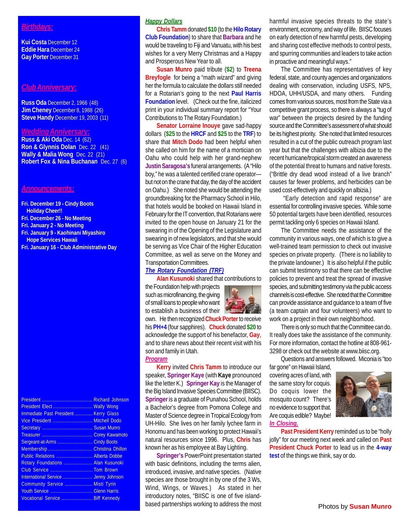# *Birthdays:*

**Kui Costa** December 12 **Eddie Hara** December 24 **Gay Porter** December 31

#### *Club Anniversary:*

**Russ Oda** December 2, 1966 (48) **Jim Cheney** December 8, 1988 (26) **Steve Handy** December 19, 2003 (11)

## *Wedding Anniversary:*

**Russ & Aki Oda** Dec. 14 (62) **Ron & Glynnis Dolan** Dec. 22 (41) **Wally & Malia Wong** Dec. 22 (21) **Robert Fox & Nina Buchanan** Dec. 27 (6)

#### *Announcements:*

**Fri. December 19 - Cindy Boots Holiday Cheer!!**

- **Fri. December 26 No Meeting**
- **Fri. January 2 No Meeting**
- **Fri. January 9 Kaohinani Miyashiro Hope Services Hawaii**
- **Fri. January 16 Club Administrative Day**

|                                      | <b>Richard Johnson</b> |
|--------------------------------------|------------------------|
| President Elect Wally Wong           |                        |
| Immediate Past President Kerry Glass |                        |
|                                      |                        |
|                                      |                        |
|                                      |                        |
|                                      | <b>Cindy Boots</b>     |
|                                      |                        |
| Public Relations  Alberta Dobbe      |                        |
| Rotary Foundations  Alan Kusunoki    |                        |
|                                      |                        |
|                                      |                        |
| Community Service  Misti Tyrin       |                        |
|                                      |                        |
| Vocational Service  Biff Kennedy     |                        |

# *Happy Dollars*

**Chris Tamm** donated **\$10** (to the **Hilo Rotary Club Foundation**) to share that **Barbara** and he would be traveling to Fiji and Vanuatu, with his best wishes for a very Merry Christmas and a Happy and Prosperous New Year to all.

**Susan Munro** paid tribute (**\$2**) to **Treena Breyfogle** for being a "math wizard" and giving her the formula to calculate the dollars still needed for a Rotarian's going to the next **Paul Harris Foundation** level. (Check out the fine, italicized print in your individual summary report for "Your Contributions to The Rotary Foundation.)

**Senator Lorraine Inouye** gave sad-happy dollars (**\$25** to the **HRCF** and **\$25** to the **TRF**) to share that **Mitch Dodo** had been helpful when she called on him for the name of a mortician on Oahu who could help with her grand-nephew **Justin Saragosa's** funeral arrangements. (A "Hilo boy," he was a talented certified crane operator but not on the crane that day, the day of the accident on Oahu.) She noted she would be attending the groundbreaking for the Pharmacy School in Hilo, that hotels would be booked on Hawaii Island in February for the IT convention, that Rotarians were invited to the open house on January 21 for the swearing in of the Opening of the Legislature and swearing in of new legislators, and that she would be serving as Vice Chair of the Higher Education Committee, as well as serve on the Money and Transportation Committees.

#### *The Rotary Foundation (TRF)*

**Alan Kusunoki** shared that contributions to

the Foundation help with projects such as microfinancing, the giving of small loans to people who want to establish a business of their

own. He then recognized **Chuck Porter** to receive his **PH+4** (four sapphires). **Chuck** donated **\$20** to acknowledge the support of his benefactor, **Gay**, and to share news about their recent visit with his son and family in Utah.

#### *Program*

**Kerry** invited **Chris Tamm** to introduce our speaker, **Springer Kaye** (with **Kaye** pronounced like the letter K.) **Springer Kay** is the Manager of the Big Island Invasive Species Committee (BIISC). **Springer** is a graduate of Punahou School, holds a Bachelor's degree from Pomona College and Master of Science degree in Tropical Ecology from UH-Hilo. She lives on her family lychee farm in Honomu and has been working to protect Hawaii's natural resources since 1996. Plus, **Chris** has known her as his employee at Bay Lighting.

**Springer's** PowerPoint presentation started with basic definitions, including the terms alien, introduced, invasive, and native species. (Native species are those brought in by one of the 3 Ws, Wind, Wings, or Waves.) As stated in her introductory notes, "BIISC is one of five islandbased partnerships working to address the most harmful invasive species threats to the state's environment, economy, and way of life. BIISC focuses on early detection of new harmful pests, developing and sharing cost effective methods to control pests, and spurring communities and leaders to take action in proactive and meaningful ways."

The Committee has representatives of key federal, state, and county agencies and organizations dealing with conservation, including USFS, NPS, HDOA, UHH/USDA, and many others. Funding comes from various sources, most from the State via a competitive grant process, so there is always a "tug of war" between the projects desired by the funding source and the Committee's assessment of what should be its highest priority. She noted that limited resources resulted in a cut of the public outreach program last year but that the challenges with albizia due to the recent hurricane/tropical storm created an awareness of the potential threat to humans and native forests. ("Brittle dry dead wood instead of a live branch" causes far fewer problems, and herbicides can be used cost-effectively and quickly on albizia.)

 "Early detection and rapid response" are essential for controlling invasive species. While some 50 potential targets have been identified, resources permit tackling only 6 species on Hawaii Island.

The Committee needs the assistance of the community in various ways, one of which is to give a well-trained team permission to check out invasive species on private property. (There is no liability to the private landowner.) It is also helpful if the public can submit testimony so that there can be effective policies to prevent and treat the spread of invasive species, and submitting testimony via the public access channels is cost-effective. She noted that the Committee can provide assistance and guidance to a team of five (a team captain and four volunteers) who want to work on a project in their own neighborhood.

There is only so much that the Committee can do. It really does take the assistance of the community. For more information, contact the hotline at 808-961- 3298 or check out the website at www.biisc.org.

Questions and answers followed. Miconia is "too

far gone" on Hawaii Island, covering acres of land, with the same story for coquis. Do coquis lower the mosquito count? There's no evidence to support that. Are coquis edible? Maybe! *In Closing.*



**Past President Kerry** reminded us to be "holly jolly" for our meeting next week and called on **Past President Chuck Porter** to lead us in the **4-way test** of the things we think, say or do.